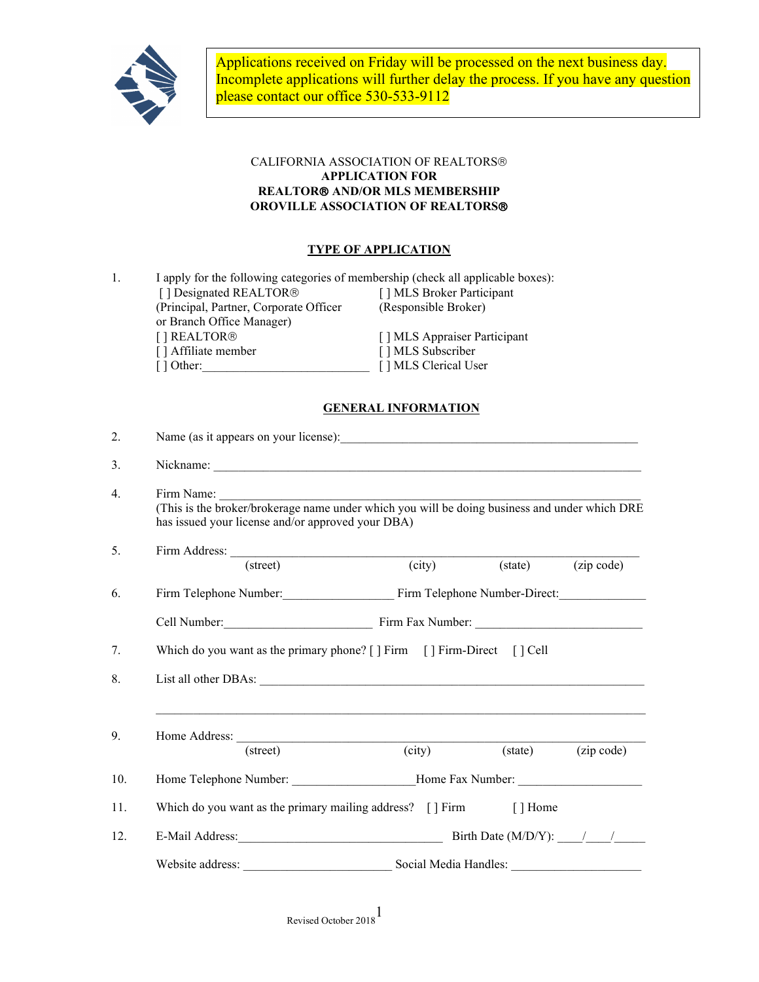

Applications received on Friday will be processed on the next business day. Incomplete applications will further delay the process. If you have any question please contact our office 530-533-9112

## CALIFORNIA ASSOCIATION OF REALTORS **APPLICATION FOR REALTOR AND/OR MLS MEMBERSHIP OROVILLE ASSOCIATION OF REALTORS**

# **TYPE OF APPLICATION**

| I apply for the following categories of membership (check all applicable boxes): |                              |  |
|----------------------------------------------------------------------------------|------------------------------|--|
| [] Designated REALTOR®                                                           | [] MLS Broker Participant    |  |
| (Principal, Partner, Corporate Officer                                           | (Responsible Broker)         |  |
| or Branch Office Manager)                                                        |                              |  |
| [] REALTOR <sup>®</sup>                                                          | [] MLS Appraiser Participant |  |
| [] Affiliate member                                                              | [] MLS Subscriber            |  |
| [ ] Other:                                                                       | [] MLS Clerical User         |  |
|                                                                                  |                              |  |

### **GENERAL INFORMATION**

| 2.  |                                                                                     |                            |                  |            |  |  |
|-----|-------------------------------------------------------------------------------------|----------------------------|------------------|------------|--|--|
| 3.  |                                                                                     |                            |                  |            |  |  |
| 4.  | has issued your license and/or approved your DBA)                                   |                            |                  |            |  |  |
| 5.  |                                                                                     |                            |                  |            |  |  |
|     | $(\text{street})$                                                                   | $\overline{\text{(city)}}$ | $(\text{state})$ | (zip code) |  |  |
| 6.  | Firm Telephone Number: Firm Telephone Number-Direct:                                |                            |                  |            |  |  |
|     |                                                                                     |                            |                  |            |  |  |
| 7.  | Which do you want as the primary phone? [] Firm [] Firm-Direct [] Cell              |                            |                  |            |  |  |
| 8.  |                                                                                     |                            |                  |            |  |  |
| 9.  |                                                                                     |                            |                  |            |  |  |
|     | (street)                                                                            | (city)                     | $(\text{state})$ | (zip code) |  |  |
| 10. | Home Telephone Number: ________________________Home Fax Number: _________________   |                            |                  |            |  |  |
| 11. | Which do you want as the primary mailing address? [] Firm [] Home                   |                            |                  |            |  |  |
| 12. | E-Mail Address: $\frac{1}{\sqrt{2\pi}}$ Birth Date (M/D/Y): $\frac{1}{\sqrt{2\pi}}$ |                            |                  |            |  |  |
|     |                                                                                     |                            |                  |            |  |  |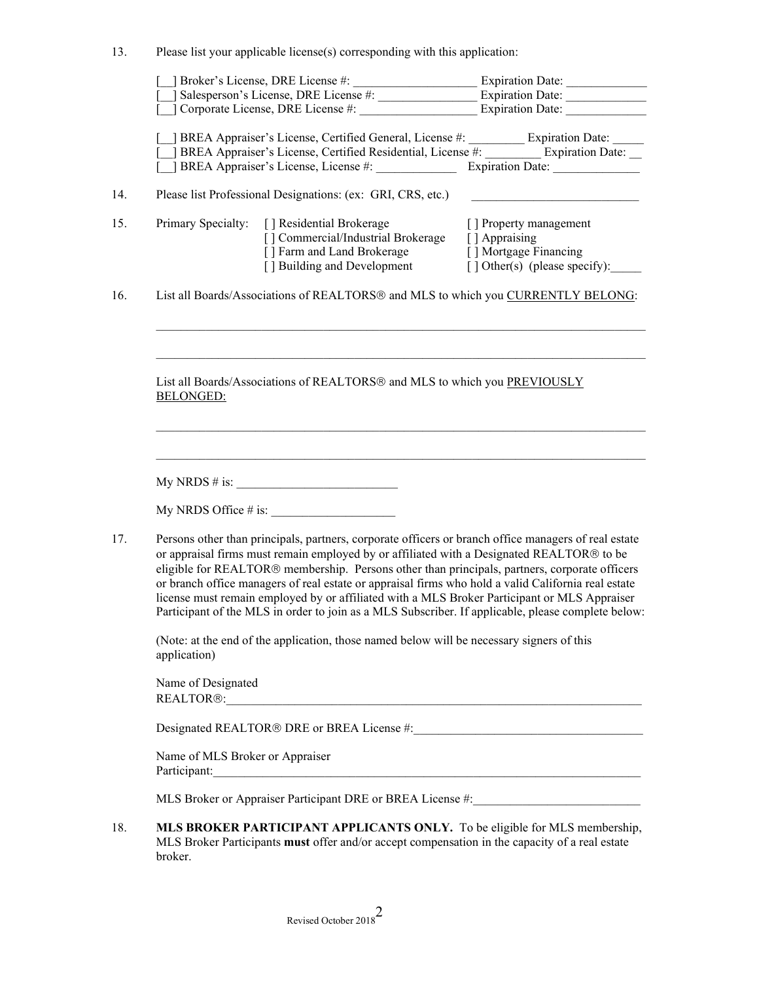13. Please list your applicable license(s) corresponding with this application:

|                                                                                                                                                                                                                                                                                                                                                                                                                                                                                                                                                                                                                 | [ ] Corporate License, DRE License #:                                                                                                                                                                                                  | <b>Expiration Date:</b>                                                                                  |  |  |
|-----------------------------------------------------------------------------------------------------------------------------------------------------------------------------------------------------------------------------------------------------------------------------------------------------------------------------------------------------------------------------------------------------------------------------------------------------------------------------------------------------------------------------------------------------------------------------------------------------------------|----------------------------------------------------------------------------------------------------------------------------------------------------------------------------------------------------------------------------------------|----------------------------------------------------------------------------------------------------------|--|--|
|                                                                                                                                                                                                                                                                                                                                                                                                                                                                                                                                                                                                                 | _] BREA Appraiser's License, Certified General, License #: __________ Expiration Date: _____<br>] BREA Appraiser's License, Certified Residential, License #: ________ Expiration Date: __<br>[ ] BREA Appraiser's License, License #: | Expiration Date:                                                                                         |  |  |
|                                                                                                                                                                                                                                                                                                                                                                                                                                                                                                                                                                                                                 |                                                                                                                                                                                                                                        |                                                                                                          |  |  |
|                                                                                                                                                                                                                                                                                                                                                                                                                                                                                                                                                                                                                 | Please list Professional Designations: (ex: GRI, CRS, etc.)                                                                                                                                                                            |                                                                                                          |  |  |
|                                                                                                                                                                                                                                                                                                                                                                                                                                                                                                                                                                                                                 | Primary Specialty: [] Residential Brokerage<br>[] Commercial/Industrial Brokerage<br>[ ] Farm and Land Brokerage<br>[ ] Building and Development                                                                                       | [] Property management<br>[ ] Appraising<br>[] Mortgage Financing<br>$\lceil$ Other(s) (please specify): |  |  |
| List all Boards/Associations of REALTORS® and MLS to which you CURRENTLY BELONG:                                                                                                                                                                                                                                                                                                                                                                                                                                                                                                                                |                                                                                                                                                                                                                                        |                                                                                                          |  |  |
| <b>BELONGED:</b>                                                                                                                                                                                                                                                                                                                                                                                                                                                                                                                                                                                                | List all Boards/Associations of REALTORS® and MLS to which you PREVIOUSLY                                                                                                                                                              |                                                                                                          |  |  |
|                                                                                                                                                                                                                                                                                                                                                                                                                                                                                                                                                                                                                 |                                                                                                                                                                                                                                        |                                                                                                          |  |  |
|                                                                                                                                                                                                                                                                                                                                                                                                                                                                                                                                                                                                                 |                                                                                                                                                                                                                                        |                                                                                                          |  |  |
| Persons other than principals, partners, corporate officers or branch office managers of real estate<br>or appraisal firms must remain employed by or affiliated with a Designated REALTOR® to be<br>eligible for REALTOR® membership. Persons other than principals, partners, corporate officers<br>or branch office managers of real estate or appraisal firms who hold a valid California real estate<br>license must remain employed by or affiliated with a MLS Broker Participant or MLS Appraiser<br>Participant of the MLS in order to join as a MLS Subscriber. If applicable, please complete below: |                                                                                                                                                                                                                                        |                                                                                                          |  |  |
| (Note: at the end of the application, those named below will be necessary signers of this<br>application)                                                                                                                                                                                                                                                                                                                                                                                                                                                                                                       |                                                                                                                                                                                                                                        |                                                                                                          |  |  |
| Name of Designated<br>REALTOR®: CONSTRUCTION CONTROL CONTROL CONTROL CONTROL CONTROL CONTROL CONTROL CONTROL CONTROL CONTROL CONTROL CONTROL CONTROL CONTROL CONTROL CONTROL CONTROL CONTROL CONTROL CONTROL CONTROL CONTROL CONTROL CONTROL CONTROL                                                                                                                                                                                                                                                                                                                                                            |                                                                                                                                                                                                                                        |                                                                                                          |  |  |
| Designated REALTOR® DRE or BREA License #:                                                                                                                                                                                                                                                                                                                                                                                                                                                                                                                                                                      |                                                                                                                                                                                                                                        |                                                                                                          |  |  |
| Name of MLS Broker or Appraiser<br>Participant: Note of the Communication of the Communication of the Communication of the Communication of the Communication of the Communication of the Communication of the Communication of the Communication of the Communic                                                                                                                                                                                                                                                                                                                                               |                                                                                                                                                                                                                                        |                                                                                                          |  |  |
| MLS Broker or Appraiser Participant DRE or BREA License #: _____________________                                                                                                                                                                                                                                                                                                                                                                                                                                                                                                                                |                                                                                                                                                                                                                                        |                                                                                                          |  |  |
| broker.                                                                                                                                                                                                                                                                                                                                                                                                                                                                                                                                                                                                         | MLS BROKER PARTICIPANT APPLICANTS ONLY. To be eligible for MLS membership,<br>MLS Broker Participants must offer and/or accept compensation in the capacity of a real estate                                                           |                                                                                                          |  |  |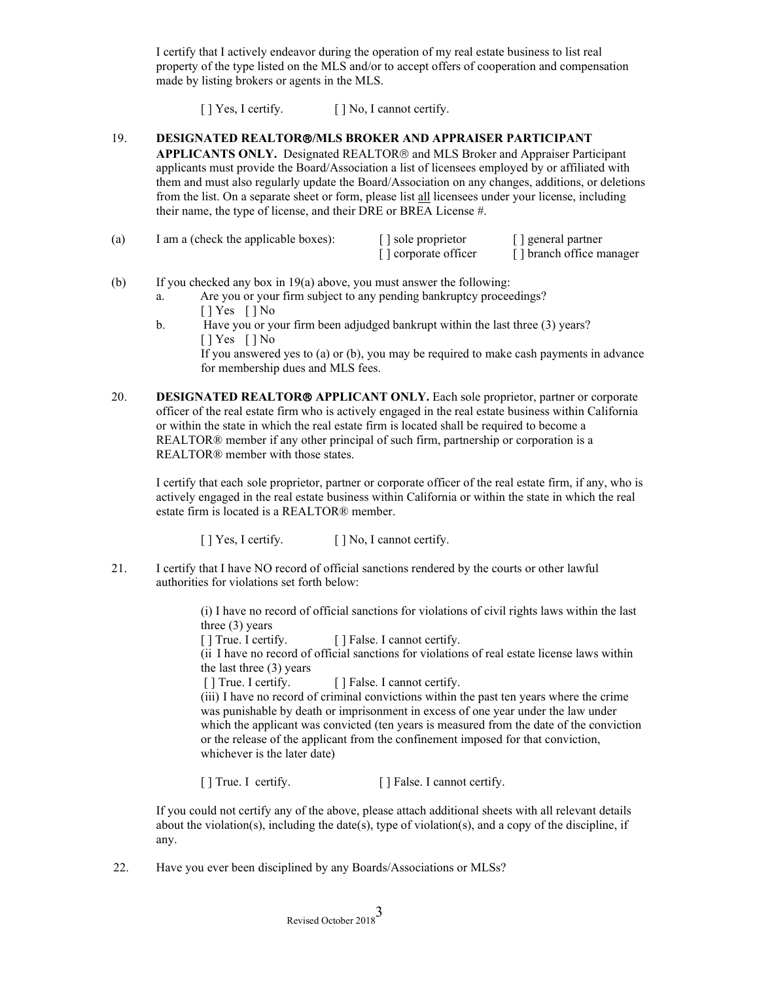I certify that I actively endeavor during the operation of my real estate business to list real property of the type listed on the MLS and/or to accept offers of cooperation and compensation made by listing brokers or agents in the MLS.

[ ] Yes, I certify. [ ] No, I cannot certify.

#### 19. **DESIGNATED REALTOR/MLS BROKER AND APPRAISER PARTICIPANT**

**APPLICANTS ONLY.** Designated REALTOR<sup>®</sup> and MLS Broker and Appraiser Participant applicants must provide the Board/Association a list of licensees employed by or affiliated with them and must also regularly update the Board/Association on any changes, additions, or deletions from the list. On a separate sheet or form, please list all licensees under your license, including their name, the type of license, and their DRE or BREA License #.

| (a) | I am a (check the applicable boxes): | $\lceil$ sole proprietor | [ ] general partner      |
|-----|--------------------------------------|--------------------------|--------------------------|
|     |                                      | [] corporate officer     | [] branch office manager |

- (b) If you checked any box in 19(a) above, you must answer the following:
	- a. Are you or your firm subject to any pending bankruptcy proceedings? [ ] Yes [ ] No
	- b. Have you or your firm been adjudged bankrupt within the last three (3) years? [ ] Yes [ ] No If you answered yes to (a) or (b), you may be required to make cash payments in advance for membership dues and MLS fees.
- 20. **DESIGNATED REALTOR® APPLICANT ONLY.** Each sole proprietor, partner or corporate officer of the real estate firm who is actively engaged in the real estate business within California or within the state in which the real estate firm is located shall be required to become a REALTOR® member if any other principal of such firm, partnership or corporation is a REALTOR® member with those states.

I certify that each sole proprietor, partner or corporate officer of the real estate firm, if any, who is actively engaged in the real estate business within California or within the state in which the real estate firm is located is a REALTOR® member.

[ ] Yes, I certify. [ ] No, I cannot certify.

21. I certify that I have NO record of official sanctions rendered by the courts or other lawful authorities for violations set forth below:

> (i) I have no record of official sanctions for violations of civil rights laws within the last three (3) years

[] True. I certify. [] False. I cannot certify.

(ii I have no record of official sanctions for violations of real estate license laws within the last three (3) years

[ ] True. I certify. [ ] False. I cannot certify.

(iii) I have no record of criminal convictions within the past ten years where the crime was punishable by death or imprisonment in excess of one year under the law under which the applicant was convicted (ten years is measured from the date of the conviction or the release of the applicant from the confinement imposed for that conviction, whichever is the later date)

[ ] True. I certify. [ ] False. I cannot certify.

If you could not certify any of the above, please attach additional sheets with all relevant details about the violation(s), including the date(s), type of violation(s), and a copy of the discipline, if any.

22. Have you ever been disciplined by any Boards/Associations or MLSs?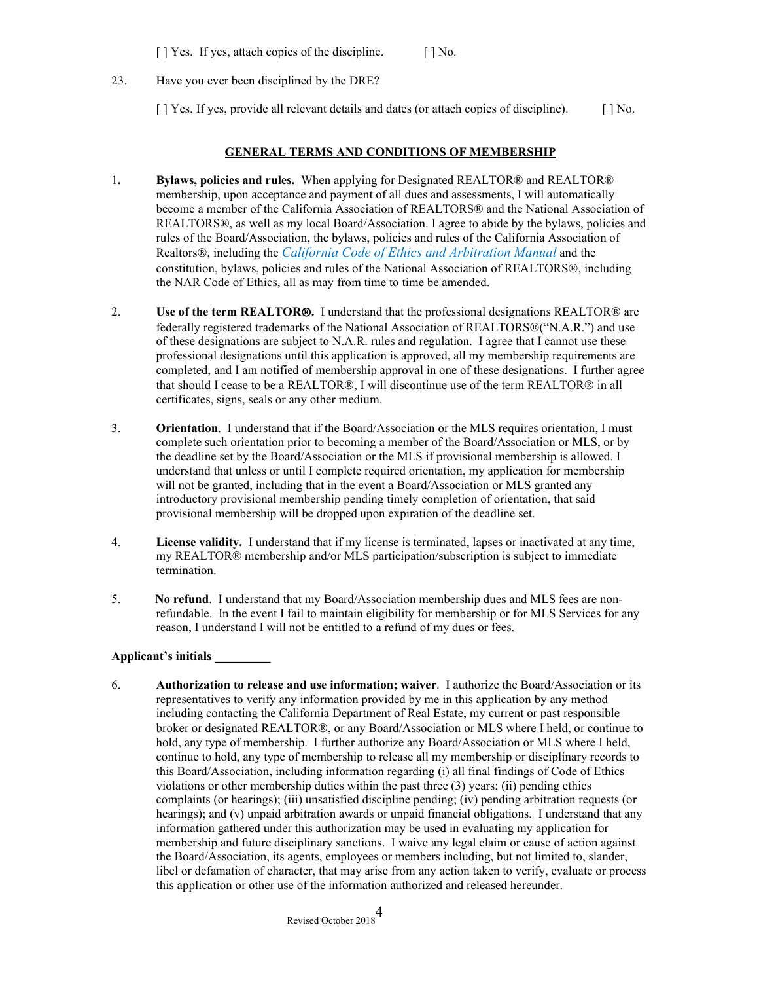[ ] Yes. If yes, attach copies of the discipline. [ ] No.

23. Have you ever been disciplined by the DRE?

[ ] Yes. If yes, provide all relevant details and dates (or attach copies of discipline). [ ] No.

### **GENERAL TERMS AND CONDITIONS OF MEMBERSHIP**

- 1**. Bylaws, policies and rules.** When applying for Designated REALTOR® and REALTOR® membership, upon acceptance and payment of all dues and assessments, I will automatically become a member of the California Association of REALTORS® and the National Association of REALTORS®, as well as my local Board/Association. I agree to abide by the bylaws, policies and rules of the Board/Association, the bylaws, policies and rules of the California Association of Realtors<sup>®</sup>, including the *California Code of Ethics and Arbitration Manual* and the constitution, bylaws, policies and rules of the National Association of REALTORS®, including the NAR Code of Ethics, all as may from time to time be amended.
- 2. **Use of the term REALTOR®.** I understand that the professional designations REALTOR® are federally registered trademarks of the National Association of REALTORS®("N.A.R.") and use of these designations are subject to N.A.R. rules and regulation. I agree that I cannot use these professional designations until this application is approved, all my membership requirements are completed, and I am notified of membership approval in one of these designations. I further agree that should I cease to be a REALTOR®, I will discontinue use of the term REALTOR® in all certificates, signs, seals or any other medium.
- 3. **Orientation**. I understand that if the Board/Association or the MLS requires orientation, I must complete such orientation prior to becoming a member of the Board/Association or MLS, or by the deadline set by the Board/Association or the MLS if provisional membership is allowed. I understand that unless or until I complete required orientation, my application for membership will not be granted, including that in the event a Board/Association or MLS granted any introductory provisional membership pending timely completion of orientation, that said provisional membership will be dropped upon expiration of the deadline set.
- 4. **License validity.** I understand that if my license is terminated, lapses or inactivated at any time, my REALTOR® membership and/or MLS participation/subscription is subject to immediate termination.
- 5. **No refund**. I understand that my Board/Association membership dues and MLS fees are nonrefundable. In the event I fail to maintain eligibility for membership or for MLS Services for any reason, I understand I will not be entitled to a refund of my dues or fees.

# **Applicant's initials \_\_\_\_\_\_\_\_\_**

6. **Authorization to release and use information; waiver**. I authorize the Board/Association or its representatives to verify any information provided by me in this application by any method including contacting the California Department of Real Estate, my current or past responsible broker or designated REALTOR®, or any Board/Association or MLS where I held, or continue to hold, any type of membership. I further authorize any Board/Association or MLS where I held, continue to hold, any type of membership to release all my membership or disciplinary records to this Board/Association, including information regarding (i) all final findings of Code of Ethics violations or other membership duties within the past three (3) years; (ii) pending ethics complaints (or hearings); (iii) unsatisfied discipline pending; (iv) pending arbitration requests (or hearings); and (v) unpaid arbitration awards or unpaid financial obligations. I understand that any information gathered under this authorization may be used in evaluating my application for membership and future disciplinary sanctions. I waive any legal claim or cause of action against the Board/Association, its agents, employees or members including, but not limited to, slander, libel or defamation of character, that may arise from any action taken to verify, evaluate or process this application or other use of the information authorized and released hereunder.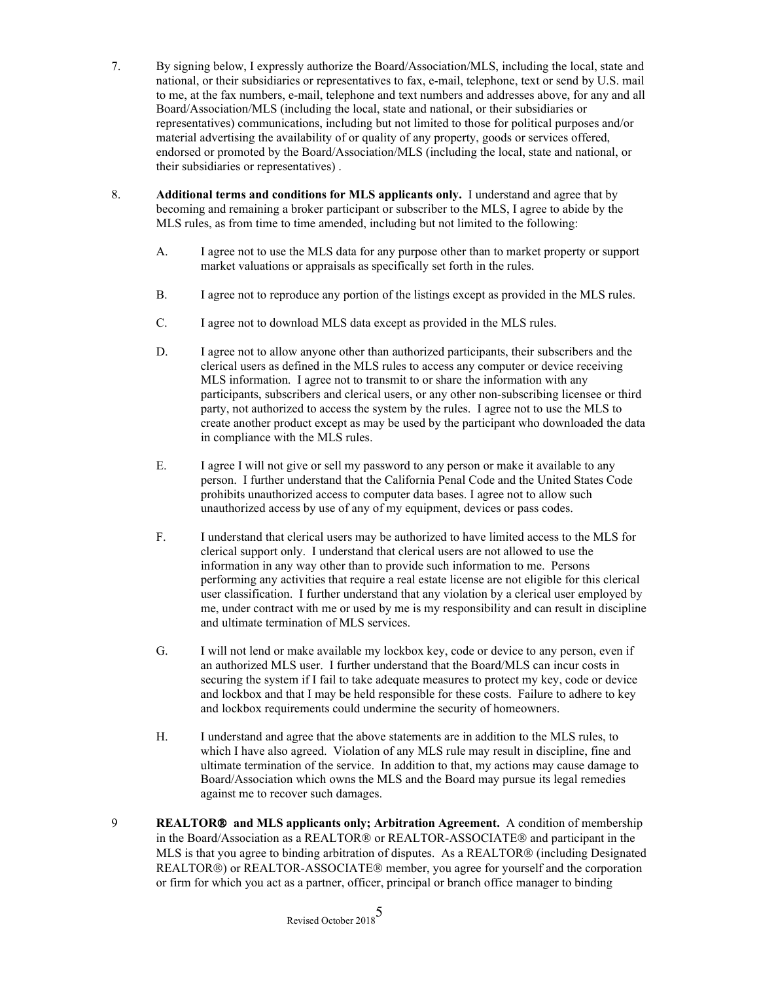- 7. By signing below, I expressly authorize the Board/Association/MLS, including the local, state and national, or their subsidiaries or representatives to fax, e-mail, telephone, text or send by U.S. mail to me, at the fax numbers, e-mail, telephone and text numbers and addresses above, for any and all Board/Association/MLS (including the local, state and national, or their subsidiaries or representatives) communications, including but not limited to those for political purposes and/or material advertising the availability of or quality of any property, goods or services offered, endorsed or promoted by the Board/Association/MLS (including the local, state and national, or their subsidiaries or representatives) .
- 8. **Additional terms and conditions for MLS applicants only.** I understand and agree that by becoming and remaining a broker participant or subscriber to the MLS, I agree to abide by the MLS rules, as from time to time amended, including but not limited to the following:
	- A. I agree not to use the MLS data for any purpose other than to market property or support market valuations or appraisals as specifically set forth in the rules.
	- B. I agree not to reproduce any portion of the listings except as provided in the MLS rules.
	- C. I agree not to download MLS data except as provided in the MLS rules.
	- D. I agree not to allow anyone other than authorized participants, their subscribers and the clerical users as defined in the MLS rules to access any computer or device receiving MLS information. I agree not to transmit to or share the information with any participants, subscribers and clerical users, or any other non-subscribing licensee or third party, not authorized to access the system by the rules. I agree not to use the MLS to create another product except as may be used by the participant who downloaded the data in compliance with the MLS rules.
	- E. I agree I will not give or sell my password to any person or make it available to any person. I further understand that the California Penal Code and the United States Code prohibits unauthorized access to computer data bases. I agree not to allow such unauthorized access by use of any of my equipment, devices or pass codes.
	- F. I understand that clerical users may be authorized to have limited access to the MLS for clerical support only. I understand that clerical users are not allowed to use the information in any way other than to provide such information to me. Persons performing any activities that require a real estate license are not eligible for this clerical user classification. I further understand that any violation by a clerical user employed by me, under contract with me or used by me is my responsibility and can result in discipline and ultimate termination of MLS services.
	- G. I will not lend or make available my lockbox key, code or device to any person, even if an authorized MLS user. I further understand that the Board/MLS can incur costs in securing the system if I fail to take adequate measures to protect my key, code or device and lockbox and that I may be held responsible for these costs. Failure to adhere to key and lockbox requirements could undermine the security of homeowners.
	- H. I understand and agree that the above statements are in addition to the MLS rules, to which I have also agreed. Violation of any MLS rule may result in discipline, fine and ultimate termination of the service. In addition to that, my actions may cause damage to Board/Association which owns the MLS and the Board may pursue its legal remedies against me to recover such damages.
- 9 **REALTOR and MLS applicants only; Arbitration Agreement.** A condition of membership in the Board/Association as a REALTOR® or REALTOR-ASSOCIATE® and participant in the MLS is that you agree to binding arbitration of disputes. As a REALTOR® (including Designated REALTOR®) or REALTOR-ASSOCIATE® member, you agree for yourself and the corporation or firm for which you act as a partner, officer, principal or branch office manager to binding